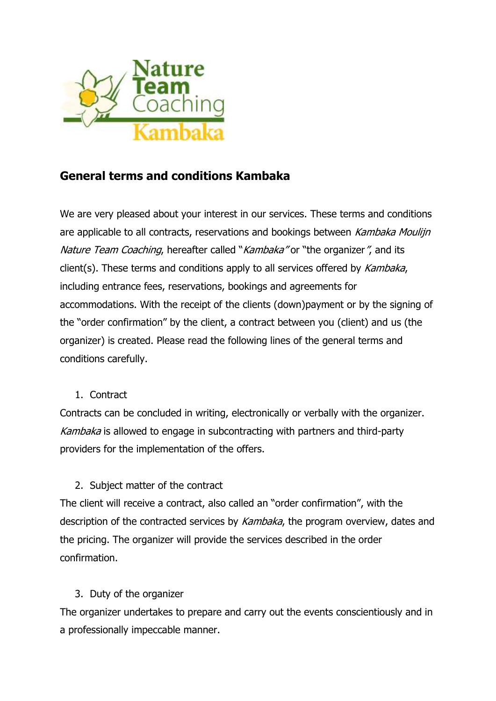

# **General terms and conditions Kambaka**

We are very pleased about your interest in our services. These terms and conditions are applicable to all contracts, reservations and bookings between Kambaka Moulijn Nature Team Coaching, hereafter called "Kambaka" or "the organizer", and its client(s). These terms and conditions apply to all services offered by Kambaka, including entrance fees, reservations, bookings and agreements for accommodations. With the receipt of the clients (down)payment or by the signing of the "order confirmation" by the client, a contract between you (client) and us (the organizer) is created. Please read the following lines of the general terms and conditions carefully.

#### 1. Contract

Contracts can be concluded in writing, electronically or verbally with the organizer. Kambaka is allowed to engage in subcontracting with partners and third-party providers for the implementation of the offers.

### 2. Subject matter of the contract

The client will receive a contract, also called an "order confirmation", with the description of the contracted services by Kambaka, the program overview, dates and the pricing. The organizer will provide the services described in the order confirmation.

### 3. Duty of the organizer

The organizer undertakes to prepare and carry out the events conscientiously and in a professionally impeccable manner.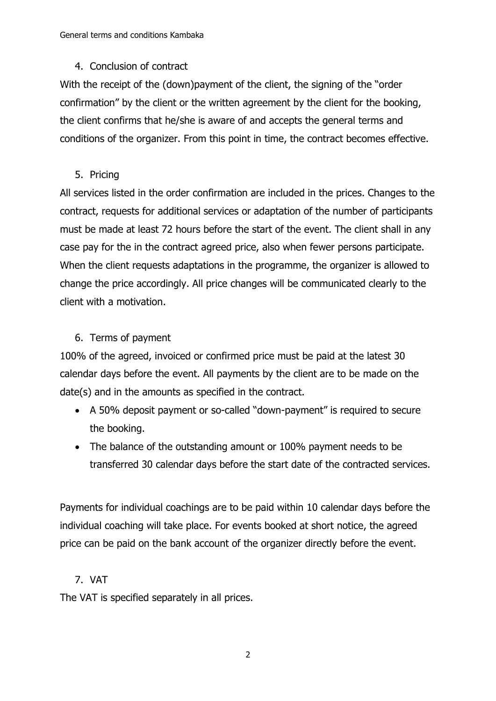### 4. Conclusion of contract

With the receipt of the (down)payment of the client, the signing of the "order confirmation" by the client or the written agreement by the client for the booking, the client confirms that he/she is aware of and accepts the general terms and conditions of the organizer. From this point in time, the contract becomes effective.

### 5. Pricing

All services listed in the order confirmation are included in the prices. Changes to the contract, requests for additional services or adaptation of the number of participants must be made at least 72 hours before the start of the event. The client shall in any case pay for the in the contract agreed price, also when fewer persons participate. When the client requests adaptations in the programme, the organizer is allowed to change the price accordingly. All price changes will be communicated clearly to the client with a motivation.

# 6. Terms of payment

100% of the agreed, invoiced or confirmed price must be paid at the latest 30 calendar days before the event. All payments by the client are to be made on the date(s) and in the amounts as specified in the contract.

- A 50% deposit payment or so-called "down-payment" is required to secure the booking.
- The balance of the outstanding amount or 100% payment needs to be transferred 30 calendar days before the start date of the contracted services.

Payments for individual coachings are to be paid within 10 calendar days before the individual coaching will take place. For events booked at short notice, the agreed price can be paid on the bank account of the organizer directly before the event.

# 7. VAT

The VAT is specified separately in all prices.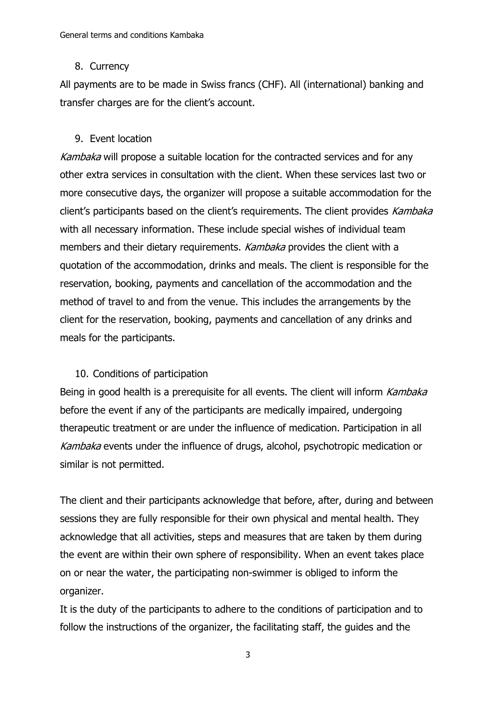#### 8. Currency

All payments are to be made in Swiss francs (CHF). All (international) banking and transfer charges are for the client's account.

#### 9. Event location

Kambaka will propose a suitable location for the contracted services and for any other extra services in consultation with the client. When these services last two or more consecutive days, the organizer will propose a suitable accommodation for the client's participants based on the client's requirements. The client provides Kambaka with all necessary information. These include special wishes of individual team members and their dietary requirements. Kambaka provides the client with a quotation of the accommodation, drinks and meals. The client is responsible for the reservation, booking, payments and cancellation of the accommodation and the method of travel to and from the venue. This includes the arrangements by the client for the reservation, booking, payments and cancellation of any drinks and meals for the participants.

#### 10. Conditions of participation

Being in good health is a prerequisite for all events. The client will inform *Kambaka* before the event if any of the participants are medically impaired, undergoing therapeutic treatment or are under the influence of medication. Participation in all Kambaka events under the influence of drugs, alcohol, psychotropic medication or similar is not permitted.

The client and their participants acknowledge that before, after, during and between sessions they are fully responsible for their own physical and mental health. They acknowledge that all activities, steps and measures that are taken by them during the event are within their own sphere of responsibility. When an event takes place on or near the water, the participating non-swimmer is obliged to inform the organizer.

It is the duty of the participants to adhere to the conditions of participation and to follow the instructions of the organizer, the facilitating staff, the guides and the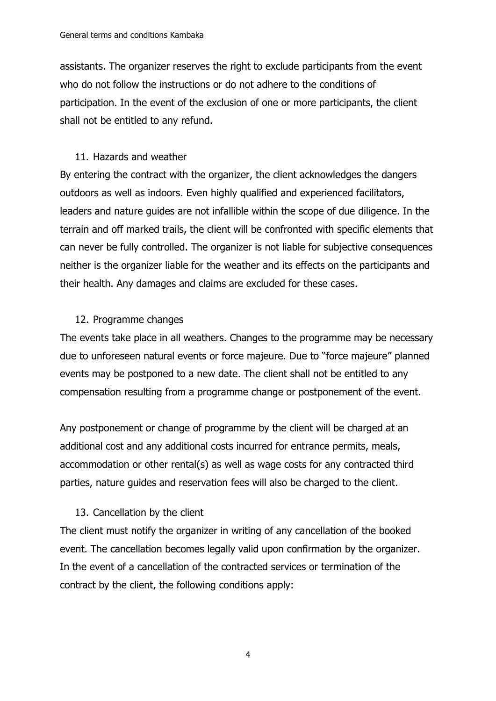assistants. The organizer reserves the right to exclude participants from the event who do not follow the instructions or do not adhere to the conditions of participation. In the event of the exclusion of one or more participants, the client shall not be entitled to any refund.

#### 11. Hazards and weather

By entering the contract with the organizer, the client acknowledges the dangers outdoors as well as indoors. Even highly qualified and experienced facilitators, leaders and nature guides are not infallible within the scope of due diligence. In the terrain and off marked trails, the client will be confronted with specific elements that can never be fully controlled. The organizer is not liable for subjective consequences neither is the organizer liable for the weather and its effects on the participants and their health. Any damages and claims are excluded for these cases.

#### 12. Programme changes

The events take place in all weathers. Changes to the programme may be necessary due to unforeseen natural events or force majeure. Due to "force majeure" planned events may be postponed to a new date. The client shall not be entitled to any compensation resulting from a programme change or postponement of the event.

Any postponement or change of programme by the client will be charged at an additional cost and any additional costs incurred for entrance permits, meals, accommodation or other rental(s) as well as wage costs for any contracted third parties, nature guides and reservation fees will also be charged to the client.

### 13. Cancellation by the client

The client must notify the organizer in writing of any cancellation of the booked event. The cancellation becomes legally valid upon confirmation by the organizer. In the event of a cancellation of the contracted services or termination of the contract by the client, the following conditions apply: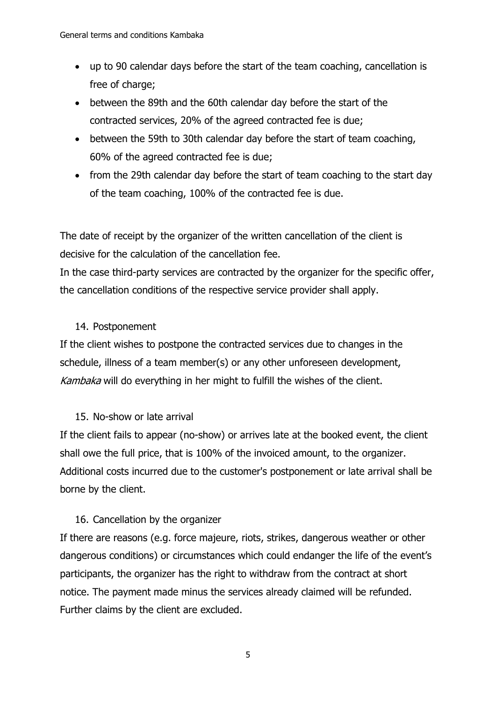- up to 90 calendar days before the start of the team coaching, cancellation is free of charge;
- between the 89th and the 60th calendar day before the start of the contracted services, 20% of the agreed contracted fee is due;
- between the 59th to 30th calendar day before the start of team coaching, 60% of the agreed contracted fee is due;
- from the 29th calendar day before the start of team coaching to the start day of the team coaching, 100% of the contracted fee is due.

The date of receipt by the organizer of the written cancellation of the client is decisive for the calculation of the cancellation fee.

In the case third-party services are contracted by the organizer for the specific offer, the cancellation conditions of the respective service provider shall apply.

### 14. Postponement

If the client wishes to postpone the contracted services due to changes in the schedule, illness of a team member(s) or any other unforeseen development, Kambaka will do everything in her might to fulfill the wishes of the client.

#### 15. No-show or late arrival

If the client fails to appear (no-show) or arrives late at the booked event, the client shall owe the full price, that is 100% of the invoiced amount, to the organizer. Additional costs incurred due to the customer's postponement or late arrival shall be borne by the client.

#### 16. Cancellation by the organizer

If there are reasons (e.g. force majeure, riots, strikes, dangerous weather or other dangerous conditions) or circumstances which could endanger the life of the event's participants, the organizer has the right to withdraw from the contract at short notice. The payment made minus the services already claimed will be refunded. Further claims by the client are excluded.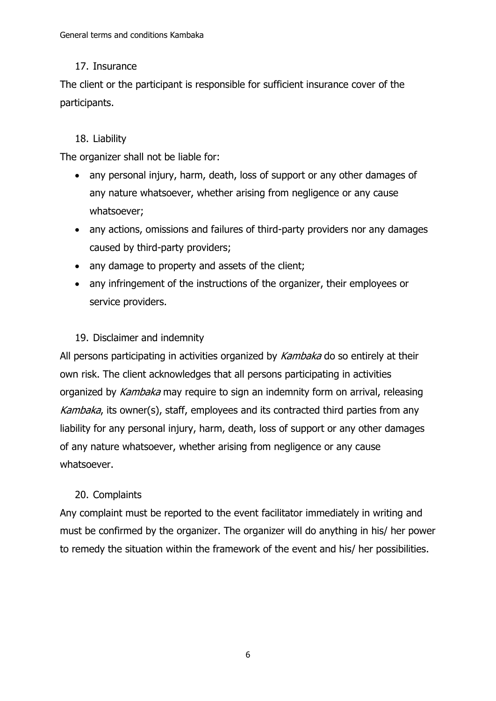### 17. Insurance

The client or the participant is responsible for sufficient insurance cover of the participants.

### 18. Liability

The organizer shall not be liable for:

- any personal injury, harm, death, loss of support or any other damages of any nature whatsoever, whether arising from negligence or any cause whatsoever;
- any actions, omissions and failures of third-party providers nor any damages caused by third-party providers;
- any damage to property and assets of the client;
- any infringement of the instructions of the organizer, their employees or service providers.

### 19. Disclaimer and indemnity

All persons participating in activities organized by Kambaka do so entirely at their own risk. The client acknowledges that all persons participating in activities organized by Kambaka may require to sign an indemnity form on arrival, releasing Kambaka, its owner(s), staff, employees and its contracted third parties from any liability for any personal injury, harm, death, loss of support or any other damages of any nature whatsoever, whether arising from negligence or any cause whatsoever.

### 20. Complaints

Any complaint must be reported to the event facilitator immediately in writing and must be confirmed by the organizer. The organizer will do anything in his/ her power to remedy the situation within the framework of the event and his/ her possibilities.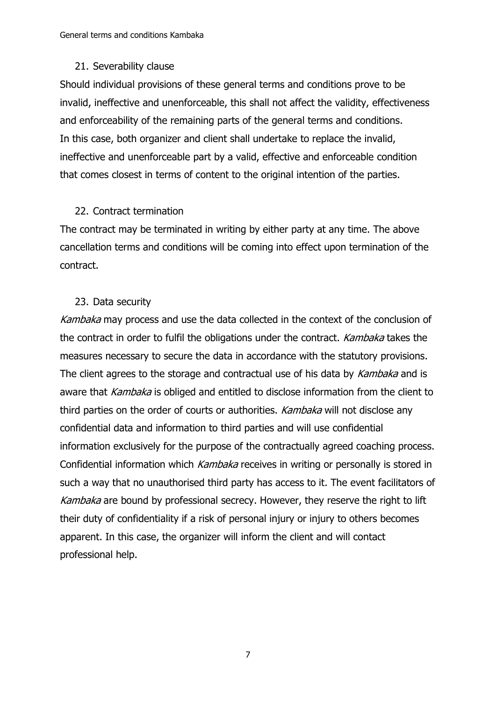#### 21. Severability clause

Should individual provisions of these general terms and conditions prove to be invalid, ineffective and unenforceable, this shall not affect the validity, effectiveness and enforceability of the remaining parts of the general terms and conditions. In this case, both organizer and client shall undertake to replace the invalid, ineffective and unenforceable part by a valid, effective and enforceable condition that comes closest in terms of content to the original intention of the parties.

#### 22. Contract termination

The contract may be terminated in writing by either party at any time. The above cancellation terms and conditions will be coming into effect upon termination of the contract.

#### 23. Data security

Kambaka may process and use the data collected in the context of the conclusion of the contract in order to fulfil the obligations under the contract. Kambaka takes the measures necessary to secure the data in accordance with the statutory provisions. The client agrees to the storage and contractual use of his data by Kambaka and is aware that Kambaka is obliged and entitled to disclose information from the client to third parties on the order of courts or authorities. Kambaka will not disclose any confidential data and information to third parties and will use confidential information exclusively for the purpose of the contractually agreed coaching process. Confidential information which Kambaka receives in writing or personally is stored in such a way that no unauthorised third party has access to it. The event facilitators of Kambaka are bound by professional secrecy. However, they reserve the right to lift their duty of confidentiality if a risk of personal injury or injury to others becomes apparent. In this case, the organizer will inform the client and will contact professional help.